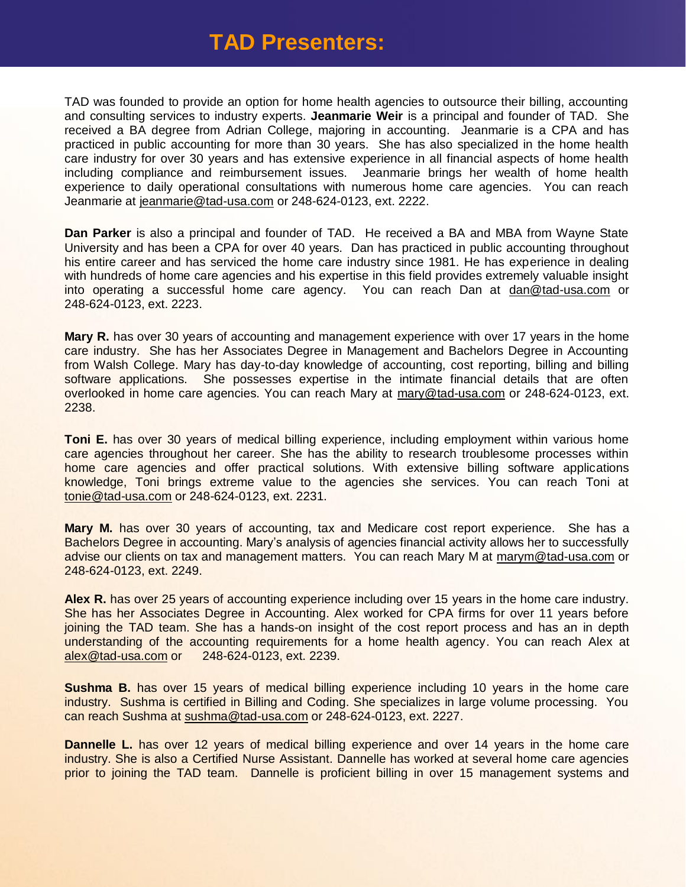## **TAD Presenters:**

TAD was founded to provide an option for home health agencies to outsource their billing, accounting and consulting services to industry experts. **Jeanmarie Weir** is a principal and founder of TAD. She received a BA degree from Adrian College, majoring in accounting. Jeanmarie is a CPA and has practiced in public accounting for more than 30 years. She has also specialized in the home health care industry for over 30 years and has extensive experience in all financial aspects of home health including compliance and reimbursement issues. Jeanmarie brings her wealth of home health experience to daily operational consultations with numerous home care agencies. You can reach Jeanmarie at jeanmarie@tad-usa.com or 248-624-0123, ext. 2222.

**Dan Parker** is also a principal and founder of TAD. He received a BA and MBA from Wayne State University and has been a CPA for over 40 years. Dan has practiced in public accounting throughout his entire career and has serviced the home care industry since 1981. He has experience in dealing with hundreds of home care agencies and his expertise in this field provides extremely valuable insight into operating a successful home care agency. You can reach Dan at dan@tad-usa.com or 248-624-0123, ext. 2223.

**Mary R.** has over 30 years of accounting and management experience with over 17 years in the home care industry. She has her Associates Degree in Management and Bachelors Degree in Accounting from Walsh College. Mary has day-to-day knowledge of accounting, cost reporting, billing and billing software applications. She possesses expertise in the intimate financial details that are often overlooked in home care agencies. You can reach Mary at mary@tad-usa.com or 248-624-0123, ext. 2238.

**Toni E.** has over 30 years of medical billing experience, including employment within various home care agencies throughout her career. She has the ability to research troublesome processes within home care agencies and offer practical solutions. With extensive billing software applications knowledge, Toni brings extreme value to the agencies she services. You can reach Toni at tonie@tad-usa.com or 248-624-0123, ext. 2231.

**Mary M.** has over 30 years of accounting, tax and Medicare cost report experience. She has a Bachelors Degree in accounting. Mary's analysis of agencies financial activity allows her to successfully advise our clients on tax and management matters. You can reach Mary M at [marym@tad-usa.com](mailto:marym@tad-usa.com) or 248-624-0123, ext. 2249.

**Alex R.** has over 25 years of accounting experience including over 15 years in the home care industry. She has her Associates Degree in Accounting. Alex worked for CPA firms for over 11 years before joining the TAD team. She has a hands-on insight of the cost report process and has an in depth understanding of the accounting requirements for a home health agency. You can reach Alex at alex@tad-usa.com or 248-624-0123, ext. 2239.

**Sushma B.** has over 15 years of medical billing experience including 10 years in the home care industry. Sushma is certified in Billing and Coding. She specializes in large volume processing. You can reach Sushma at [sushma@tad-usa.com](mailto:sushma@tad-usa.com) or 248-624-0123, ext. 2227.

**Dannelle L.** has over 12 years of medical billing experience and over 14 years in the home care industry. She is also a Certified Nurse Assistant. Dannelle has worked at several home care agencies prior to joining the TAD team. Dannelle is proficient billing in over 15 management systems and